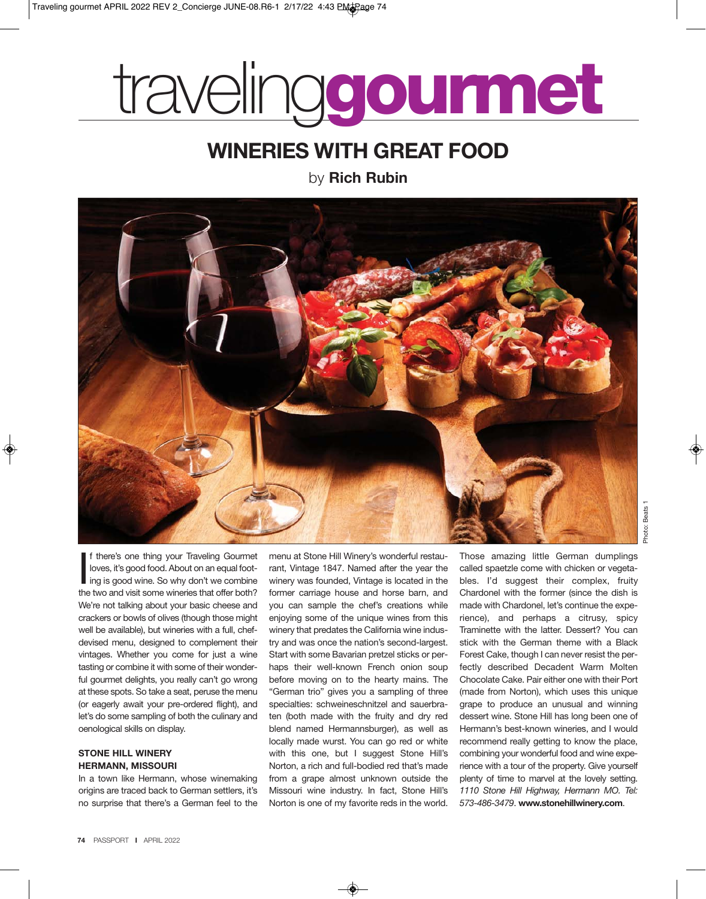# traveling**gourmet**

## **WINERIES WITH GREAT FOOD**

by **Rich Rubin**



If there's one thing your Traveling Gourmet<br>loves, it's good food. About on an equal foot-<br>ing is good wine. So why don't we combine<br>the two and visit some wineries that offer both? f there's one thing your Traveling Gourmet loves, it's good food. About on an equal foot-I ing is good wine. So why don't we combine We're not talking about your basic cheese and crackers or bowls of olives (though those might well be available), but wineries with a full, chefdevised menu, designed to complement their vintages. Whether you come for just a wine tasting or combine it with some of their wonderful gourmet delights, you really can't go wrong at these spots. So take a seat, peruse the menu (or eagerly await your pre-ordered flight), and let's do some sampling of both the culinary and oenological skills on display.

#### **STONE HILL WINERY HERMANN, MISSOURI**

In a town like Hermann, whose winemaking origins are traced back to German settlers, it's no surprise that there's a German feel to the

menu at Stone Hill Winery's wonderful restaurant, Vintage 1847. Named after the year the winery was founded, Vintage is located in the former carriage house and horse barn, and you can sample the chef's creations while enjoying some of the unique wines from this winery that predates the California wine industry and was once the nation's second-largest. Start with some Bavarian pretzel sticks or perhaps their well-known French onion soup before moving on to the hearty mains. The "German trio" gives you a sampling of three specialties: schweineschnitzel and sauerbraten (both made with the fruity and dry red blend named Hermannsburger), as well as locally made wurst. You can go red or white with this one, but I suggest Stone Hill's Norton, a rich and full-bodied red that's made from a grape almost unknown outside the Missouri wine industry. In fact, Stone Hill's Norton is one of my favorite reds in the world.

Those amazing little German dumplings called spaetzle come with chicken or vegetables. I'd suggest their complex, fruity Chardonel with the former (since the dish is made with Chardonel, let's continue the experience), and perhaps a citrusy, spicy Traminette with the latter. Dessert? You can stick with the German theme with a Black Forest Cake, though I can never resist the perfectly described Decadent Warm Molten Chocolate Cake. Pair either one with their Port (made from Norton), which uses this unique grape to produce an unusual and winning dessert wine. Stone Hill has long been one of Hermann's best-known wineries, and I would recommend really getting to know the place, combining your wonderful food and wine experience with a tour of the property. Give yourself plenty of time to marvel at the lovely setting. *1110 Stone Hill Highway, Hermann MO. Tel: 573-486-3479*. **www.stonehillwinery.com**.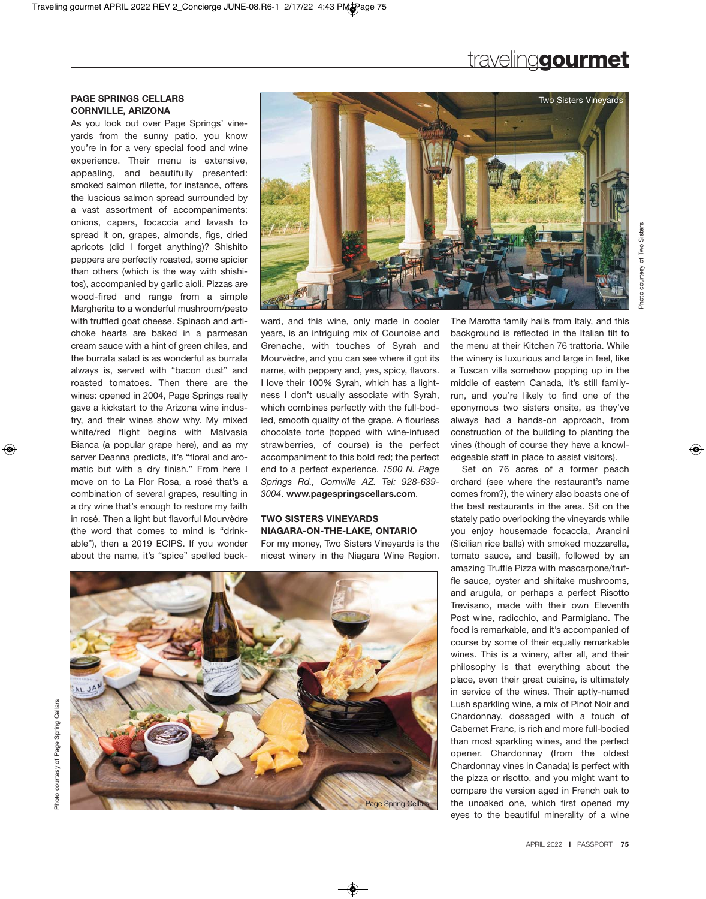## traveling**gourmet**

#### **PAGE SPRINGS CELLARS CORNVILLE, ARIZONA**

As you look out over Page Springs' vineyards from the sunny patio, you know you're in for a very special food and wine experience. Their menu is extensive, appealing, and beautifully presented: smoked salmon rillette, for instance, offers the luscious salmon spread surrounded by a vast assortment of accompaniments: onions, capers, focaccia and lavash to spread it on, grapes, almonds, figs, dried apricots (did I forget anything)? Shishito peppers are perfectly roasted, some spicier than others (which is the way with shishitos), accompanied by garlic aioli. Pizzas are wood-fired and range from a simple Margherita to a wonderful mushroom/pesto with truffled goat cheese. Spinach and artichoke hearts are baked in a parmesan cream sauce with a hint of green chiles, and the burrata salad is as wonderful as burrata always is, served with "bacon dust" and roasted tomatoes. Then there are the wines: opened in 2004, Page Springs really gave a kickstart to the Arizona wine industry, and their wines show why. My mixed white/red flight begins with Malvasia Bianca (a popular grape here), and as my server Deanna predicts, it's "floral and aromatic but with a dry finish." From here I move on to La Flor Rosa, a rosé that's a combination of several grapes, resulting in a dry wine that's enough to restore my faith in rosé. Then a light but flavorful Mourvèdre (the word that comes to mind is "drinkable"), then a 2019 ECIPS. If you wonder about the name, it's "spice" spelled back-



ward, and this wine, only made in cooler years, is an intriguing mix of Counoise and Grenache, with touches of Syrah and Mourvèdre, and you can see where it got its name, with peppery and, yes, spicy, flavors. I love their 100% Syrah, which has a lightness I don't usually associate with Syrah, which combines perfectly with the full-bodied, smooth quality of the grape. A flourless chocolate torte (topped with wine-infused strawberries, of course) is the perfect accompaniment to this bold red; the perfect end to a perfect experience. *1500 N. Page Springs Rd., Cornville AZ. Tel: 928-639- 3004*. **www.pagespringscellars.com**.

### **TWO SISTERS VINEYARDS NIAGARA-ON-THE-LAKE, ONTARIO**

For my money, Two Sisters Vineyards is the nicest winery in the Niagara Wine Region.



The Marotta family hails from Italy, and this background is reflected in the Italian tilt to the menu at their Kitchen 76 trattoria. While the winery is luxurious and large in feel, like a Tuscan villa somehow popping up in the middle of eastern Canada, it's still familyrun, and you're likely to find one of the eponymous two sisters onsite, as they've always had a hands-on approach, from construction of the building to planting the vines (though of course they have a knowledgeable staff in place to assist visitors).

Set on 76 acres of a former peach orchard (see where the restaurant's name comes from?), the winery also boasts one of the best restaurants in the area. Sit on the stately patio overlooking the vineyards while you enjoy housemade focaccia, Arancini (Sicilian rice balls) with smoked mozzarella, tomato sauce, and basil), followed by an amazing Truffle Pizza with mascarpone/truffle sauce, oyster and shiitake mushrooms, and arugula, or perhaps a perfect Risotto Trevisano, made with their own Eleventh Post wine, radicchio, and Parmigiano. The food is remarkable, and it's accompanied of course by some of their equally remarkable wines. This is a winery, after all, and their philosophy is that everything about the place, even their great cuisine, is ultimately in service of the wines. Their aptly-named Lush sparkling wine, a mix of Pinot Noir and Chardonnay, dossaged with a touch of Cabernet Franc, is rich and more full-bodied than most sparkling wines, and the perfect opener. Chardonnay (from the oldest Chardonnay vines in Canada) is perfect with the pizza or risotto, and you might want to compare the version aged in French oak to the unoaked one, which first opened my eyes to the beautiful minerality of a wine